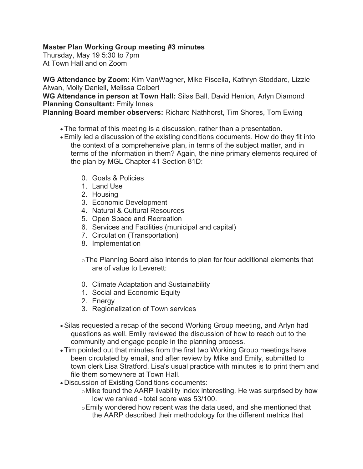## **Master Plan Working Group meeting #3 minutes**

Thursday, May 19 5:30 to 7pm At Town Hall and on Zoom

**WG Attendance by Zoom:** Kim VanWagner, Mike Fiscella, Kathryn Stoddard, Lizzie Alwan, Molly Daniell, Melissa Colbert

**WG Attendance in person at Town Hall:** Silas Ball, David Henion, Arlyn Diamond **Planning Consultant:** Emily Innes

**Planning Board member observers:** Richard Nathhorst, Tim Shores, Tom Ewing

- The format of this meeting is a discussion, rather than a presentation.
- Emily led a discussion of the existing conditions documents. How do they fit into the context of a comprehensive plan, in terms of the subject matter, and in terms of the information in them? Again, the nine primary elements required of the plan by MGL Chapter 41 Section 81D:
	- 0. Goals & Policies
	- 1. Land Use
	- 2. Housing
	- 3. Economic Development
	- 4. Natural & Cultural Resources
	- 5. Open Space and Recreation
	- 6. Services and Facilities (municipal and capital)
	- 7. Circulation (Transportation)
	- 8. Implementation
	- oThe Planning Board also intends to plan for four additional elements that are of value to Leverett:
	- 0. Climate Adaptation and Sustainability
	- 1. Social and Economic Equity
	- 2. Energy
	- 3. Regionalization of Town services
- Silas requested a recap of the second Working Group meeting, and Arlyn had questions as well. Emily reviewed the discussion of how to reach out to the community and engage people in the planning process.
- Tim pointed out that minutes from the first two Working Group meetings have been circulated by email, and after review by Mike and Emily, submitted to town clerk Lisa Stratford. Lisa's usual practice with minutes is to print them and file them somewhere at Town Hall.
- Discussion of Existing Conditions documents:
	- oMike found the AARP livability index interesting. He was surprised by how low we ranked - total score was 53/100.
	- oEmily wondered how recent was the data used, and she mentioned that the AARP described their methodology for the different metrics that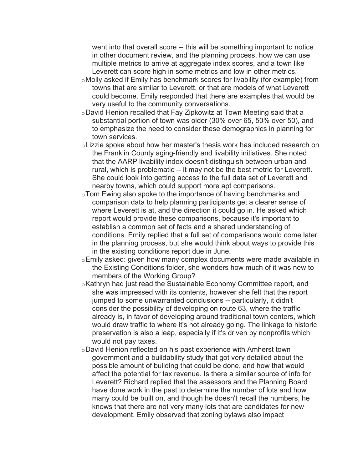went into that overall score -- this will be something important to notice in other document review, and the planning process, how we can use multiple metrics to arrive at aggregate index scores, and a town like Leverett can score high in some metrics and low in other metrics.

- oMolly asked if Emily has benchmark scores for livability (for example) from towns that are similar to Leverett, or that are models of what Leverett could become. Emily responded that there are examples that would be very useful to the community conversations.
- oDavid Henion recalled that Fay Zipkowitz at Town Meeting said that a substantial portion of town was older (30% over 65, 50% over 50), and to emphasize the need to consider these demographics in planning for town services.
- oLizzie spoke about how her master's thesis work has included research on the Franklin County aging-friendly and livability initiatives. She noted that the AARP livability index doesn't distinguish between urban and rural, which is problematic -- it may not be the best metric for Leverett. She could look into getting access to the full data set of Leverett and nearby towns, which could support more apt comparisons.
- oTom Ewing also spoke to the importance of having benchmarks and comparison data to help planning participants get a clearer sense of where Leverett is at, and the direction it could go in. He asked which report would provide these comparisons, because it's important to establish a common set of facts and a shared understanding of conditions. Emily replied that a full set of comparisons would come later in the planning process, but she would think about ways to provide this in the existing conditions report due in June.
- oEmily asked: given how many complex documents were made available in the Existing Conditions folder, she wonders how much of it was new to members of the Working Group?
- $\circ$ Kathryn had just read the Sustainable Economy Committee report, and she was impressed with its contents, however she felt that the report jumped to some unwarranted conclusions -- particularly, it didn't consider the possibility of developing on route 63, where the traffic already is, in favor of developing around traditional town centers, which would draw traffic to where it's not already going. The linkage to historic preservation is also a leap, especially if it's driven by nonprofits which would not pay taxes.
- oDavid Henion reflected on his past experience with Amherst town government and a buildability study that got very detailed about the possible amount of building that could be done, and how that would affect the potential for tax revenue. Is there a similar source of info for Leverett? Richard replied that the assessors and the Planning Board have done work in the past to determine the number of lots and how many could be built on, and though he doesn't recall the numbers, he knows that there are not very many lots that are candidates for new development. Emily observed that zoning bylaws also impact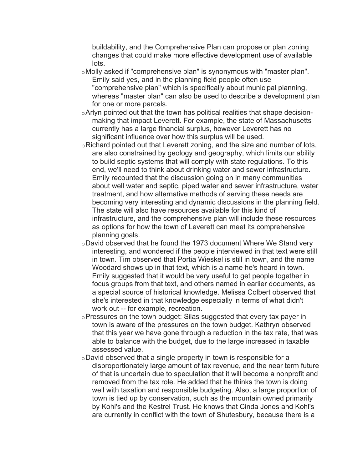buildability, and the Comprehensive Plan can propose or plan zoning changes that could make more effective development use of available lots.

- oMolly asked if "comprehensive plan" is synonymous with "master plan". Emily said yes, and in the planning field people often use "comprehensive plan" which is specifically about municipal planning, whereas "master plan" can also be used to describe a development plan for one or more parcels.
- oArlyn pointed out that the town has political realities that shape decisionmaking that impact Leverett. For example, the state of Massachusetts currently has a large financial surplus, however Leverett has no significant influence over how this surplus will be used.
- oRichard pointed out that Leverett zoning, and the size and number of lots, are also constrained by geology and geography, which limits our ability to build septic systems that will comply with state regulations. To this end, we'll need to think about drinking water and sewer infrastructure. Emily recounted that the discussion going on in many communities about well water and septic, piped water and sewer infrastructure, water treatment, and how alternative methods of serving these needs are becoming very interesting and dynamic discussions in the planning field. The state will also have resources available for this kind of infrastructure, and the comprehensive plan will include these resources as options for how the town of Leverett can meet its comprehensive planning goals.
- $\circ$ David observed that he found the 1973 document Where We Stand very interesting, and wondered if the people interviewed in that text were still in town. Tim observed that Portia Wieskel is still in town, and the name Woodard shows up in that text, which is a name he's heard in town. Emily suggested that it would be very useful to get people together in focus groups from that text, and others named in earlier documents, as a special source of historical knowledge. Melissa Colbert observed that she's interested in that knowledge especially in terms of what didn't work out -- for example, recreation.
- oPressures on the town budget: Silas suggested that every tax payer in town is aware of the pressures on the town budget. Kathryn observed that this year we have gone through a reduction in the tax rate, that was able to balance with the budget, due to the large increased in taxable assessed value.
- $\circ$ David observed that a single property in town is responsible for a disproportionately large amount of tax revenue, and the near term future of that is uncertain due to speculation that it will become a nonprofit and removed from the tax role. He added that he thinks the town is doing well with taxation and responsible budgeting. Also, a large proportion of town is tied up by conservation, such as the mountain owned primarily by Kohl's and the Kestrel Trust. He knows that Cinda Jones and Kohl's are currently in conflict with the town of Shutesbury, because there is a